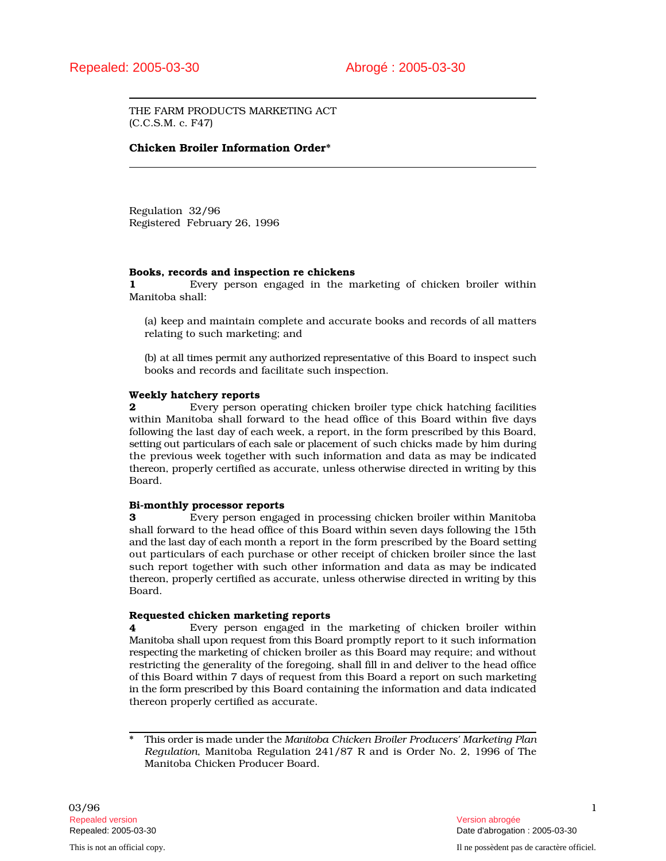THE FARM PRODUCTS MARKETING ACT (C.C.S.M. c. F47)

# Chicken Broiler Information Order\*

Regulation 32/96 Registered February 26, 1996

#### Books, records and inspection re chickens

1 Every person engaged in the marketing of chicken broiler within Manitoba shall:

(a) keep and maintain complete and accurate books and records of all matters relating to such marketing; and

(b) at all times permit any authorized representative of this Board to inspect such books and records and facilitate such inspection.

### Weekly hatchery reports

**2** Every person operating chicken broiler type chick hatching facilities within Manitoba shall forward to the head office of this Board within five days following the last day of each week, a report, in the form prescribed by this Board, setting out particulars of each sale or placement of such chicks made by him during the previous week together with such information and data as may be indicated thereon, properly certified as accurate, unless otherwise directed in writing by this Board.

### Bi-monthly processor reports

3 Every person engaged in processing chicken broiler within Manitoba shall forward to the head office of this Board within seven days following the 15th and the last day of each month a report in the form prescribed by the Board setting out particulars of each purchase or other receipt of chicken broiler since the last such report together with such other information and data as may be indicated thereon, properly certified as accurate, unless otherwise directed in writing by this Board.

#### Requested chicken marketing reports

4 Every person engaged in the marketing of chicken broiler within Manitoba shall upon request from this Board promptly report to it such information respecting the marketing of chicken broiler as this Board may require; and without restricting the generality of the foregoing, shall fill in and deliver to the head office of this Board within 7 days of request from this Board a report on such marketing in the form prescribed by this Board containing the information and data indicated thereon properly certified as accurate.

Repealed: 2005-03-30 Date d'abrogation : 2005-03-30

<sup>\*</sup> This order is made under the *Manitoba Chicken Broiler Producers' Marketing Plan Regulation*, Manitoba Regulation 241/87 R and is Order No. 2, 1996 of The Manitoba Chicken Producer Board.